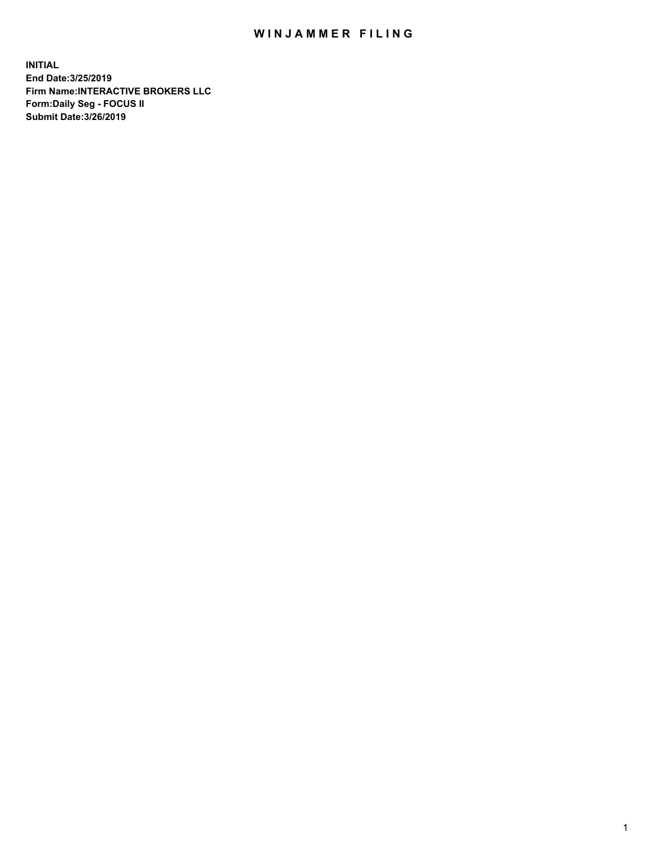## WIN JAMMER FILING

**INITIAL End Date:3/25/2019 Firm Name:INTERACTIVE BROKERS LLC Form:Daily Seg - FOCUS II Submit Date:3/26/2019**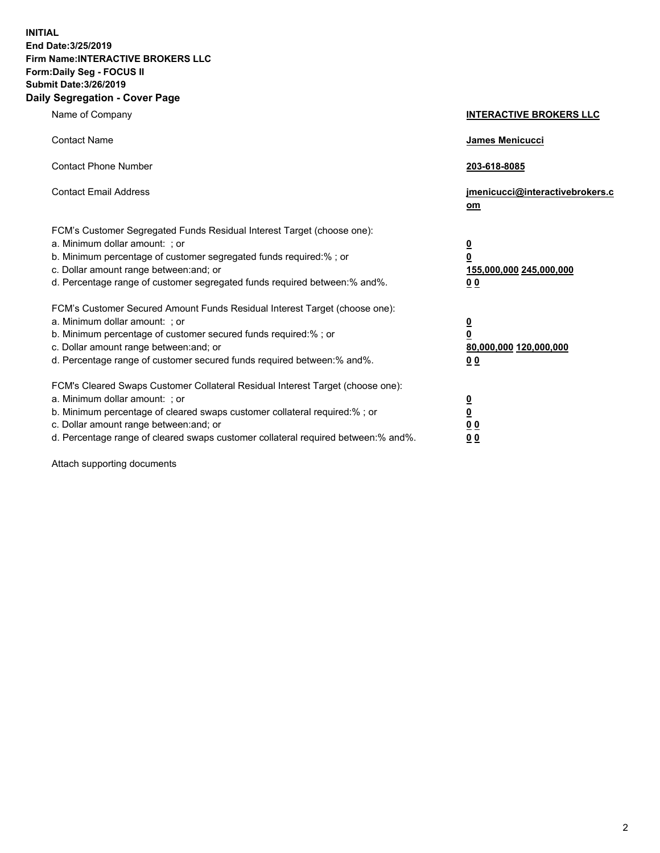**INITIAL End Date:3/25/2019 Firm Name:INTERACTIVE BROKERS LLC Form:Daily Seg - FOCUS II Submit Date:3/26/2019 Daily Segregation - Cover Page**

| Name of Company                                                                                                                                                                                                                                                                                                                | <b>INTERACTIVE BROKERS LLC</b>                                                                  |
|--------------------------------------------------------------------------------------------------------------------------------------------------------------------------------------------------------------------------------------------------------------------------------------------------------------------------------|-------------------------------------------------------------------------------------------------|
| <b>Contact Name</b>                                                                                                                                                                                                                                                                                                            | James Menicucci                                                                                 |
| <b>Contact Phone Number</b>                                                                                                                                                                                                                                                                                                    | 203-618-8085                                                                                    |
| <b>Contact Email Address</b>                                                                                                                                                                                                                                                                                                   | jmenicucci@interactivebrokers.c<br>om                                                           |
| FCM's Customer Segregated Funds Residual Interest Target (choose one):<br>a. Minimum dollar amount: ; or<br>b. Minimum percentage of customer segregated funds required:% ; or<br>c. Dollar amount range between: and; or<br>d. Percentage range of customer segregated funds required between:% and%.                         | $\overline{\mathbf{0}}$<br>$\overline{\mathbf{0}}$<br>155,000,000 245,000,000<br>0 <sub>0</sub> |
| FCM's Customer Secured Amount Funds Residual Interest Target (choose one):<br>a. Minimum dollar amount: ; or<br>b. Minimum percentage of customer secured funds required:% ; or<br>c. Dollar amount range between: and; or<br>d. Percentage range of customer secured funds required between:% and%.                           | $\overline{\mathbf{0}}$<br>0<br>80,000,000 120,000,000<br>0 <sub>0</sub>                        |
| FCM's Cleared Swaps Customer Collateral Residual Interest Target (choose one):<br>a. Minimum dollar amount: ; or<br>b. Minimum percentage of cleared swaps customer collateral required:% ; or<br>c. Dollar amount range between: and; or<br>d. Percentage range of cleared swaps customer collateral required between:% and%. | $\overline{\mathbf{0}}$<br><u>0</u><br>$\underline{0}$ $\underline{0}$<br>00                    |

Attach supporting documents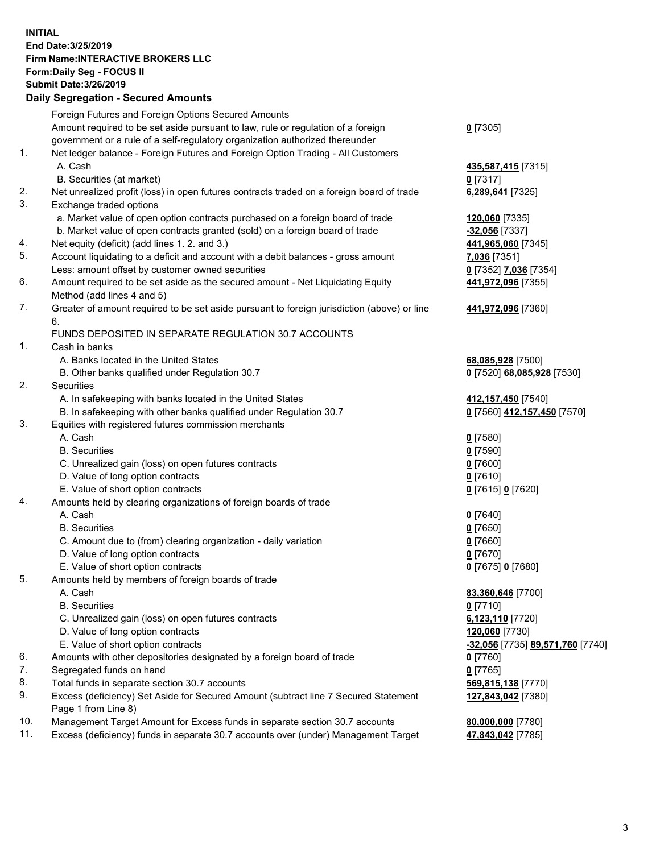## **INITIAL End Date:3/25/2019 Firm Name:INTERACTIVE BROKERS LLC Form:Daily Seg - FOCUS II Submit Date:3/26/2019 Daily Segregation - Secured Amounts**

|                | Dany Segregation - Secured Announts                                                                        |                                  |
|----------------|------------------------------------------------------------------------------------------------------------|----------------------------------|
|                | Foreign Futures and Foreign Options Secured Amounts                                                        |                                  |
|                | Amount required to be set aside pursuant to law, rule or regulation of a foreign                           | $0$ [7305]                       |
|                | government or a rule of a self-regulatory organization authorized thereunder                               |                                  |
| $\mathbf{1}$ . | Net ledger balance - Foreign Futures and Foreign Option Trading - All Customers                            |                                  |
|                | A. Cash                                                                                                    | 435,587,415 [7315]               |
|                | B. Securities (at market)                                                                                  | $0$ [7317]                       |
| 2.             | Net unrealized profit (loss) in open futures contracts traded on a foreign board of trade                  | 6,289,641 [7325]                 |
| 3.             | Exchange traded options                                                                                    |                                  |
|                | a. Market value of open option contracts purchased on a foreign board of trade                             | 120,060 [7335]                   |
|                | b. Market value of open contracts granted (sold) on a foreign board of trade                               | $-32,056$ [7337]                 |
| 4.             | Net equity (deficit) (add lines 1. 2. and 3.)                                                              | 441,965,060 [7345]               |
| 5.             | Account liquidating to a deficit and account with a debit balances - gross amount                          | 7,036 [7351]                     |
|                | Less: amount offset by customer owned securities                                                           | 0 [7352] 7,036 [7354]            |
| 6.             | Amount required to be set aside as the secured amount - Net Liquidating Equity                             | 441,972,096 [7355]               |
|                | Method (add lines 4 and 5)                                                                                 |                                  |
| 7.             | Greater of amount required to be set aside pursuant to foreign jurisdiction (above) or line<br>6.          | 441,972,096 [7360]               |
|                | FUNDS DEPOSITED IN SEPARATE REGULATION 30.7 ACCOUNTS                                                       |                                  |
| 1.             | Cash in banks                                                                                              |                                  |
|                | A. Banks located in the United States                                                                      | 68,085,928 [7500]                |
|                | B. Other banks qualified under Regulation 30.7                                                             | 0 [7520] 68,085,928 [7530]       |
| 2.             | <b>Securities</b>                                                                                          |                                  |
|                | A. In safekeeping with banks located in the United States                                                  | 412, 157, 450 [7540]             |
|                | B. In safekeeping with other banks qualified under Regulation 30.7                                         | 0 [7560] 412,157,450 [7570]      |
| 3.             | Equities with registered futures commission merchants                                                      |                                  |
|                | A. Cash                                                                                                    | $0$ [7580]                       |
|                | <b>B.</b> Securities                                                                                       | $0$ [7590]                       |
|                | C. Unrealized gain (loss) on open futures contracts                                                        | $0$ [7600]                       |
|                | D. Value of long option contracts                                                                          | $0$ [7610]                       |
|                | E. Value of short option contracts                                                                         | 0 [7615] 0 [7620]                |
| 4.             | Amounts held by clearing organizations of foreign boards of trade                                          |                                  |
|                | A. Cash                                                                                                    | $0$ [7640]                       |
|                | <b>B.</b> Securities                                                                                       | $0$ [7650]                       |
|                | C. Amount due to (from) clearing organization - daily variation                                            | $0$ [7660]                       |
|                | D. Value of long option contracts                                                                          | $0$ [7670]                       |
|                | E. Value of short option contracts                                                                         | 0 [7675] 0 [7680]                |
| 5.             | Amounts held by members of foreign boards of trade                                                         |                                  |
|                | A. Cash                                                                                                    | 83,360,646 [7700]                |
|                | <b>B.</b> Securities                                                                                       | $0$ [7710]                       |
|                | C. Unrealized gain (loss) on open futures contracts                                                        | 6,123,110 [7720]                 |
|                | D. Value of long option contracts                                                                          | 120,060 [7730]                   |
|                | E. Value of short option contracts                                                                         | -32,056 [7735] 89,571,760 [7740] |
| 6.             | Amounts with other depositories designated by a foreign board of trade                                     | 0 [7760]                         |
| 7.             | Segregated funds on hand                                                                                   | $0$ [7765]                       |
| 8.             | Total funds in separate section 30.7 accounts                                                              | 569,815,138 [7770]               |
| 9.             | Excess (deficiency) Set Aside for Secured Amount (subtract line 7 Secured Statement<br>Page 1 from Line 8) | 127,843,042 [7380]               |
| 10.            | Management Target Amount for Excess funds in separate section 30.7 accounts                                | 80,000,000 [7780]                |
| 11.            | Excess (deficiency) funds in separate 30.7 accounts over (under) Management Target                         | 47,843,042 [7785]                |
|                |                                                                                                            |                                  |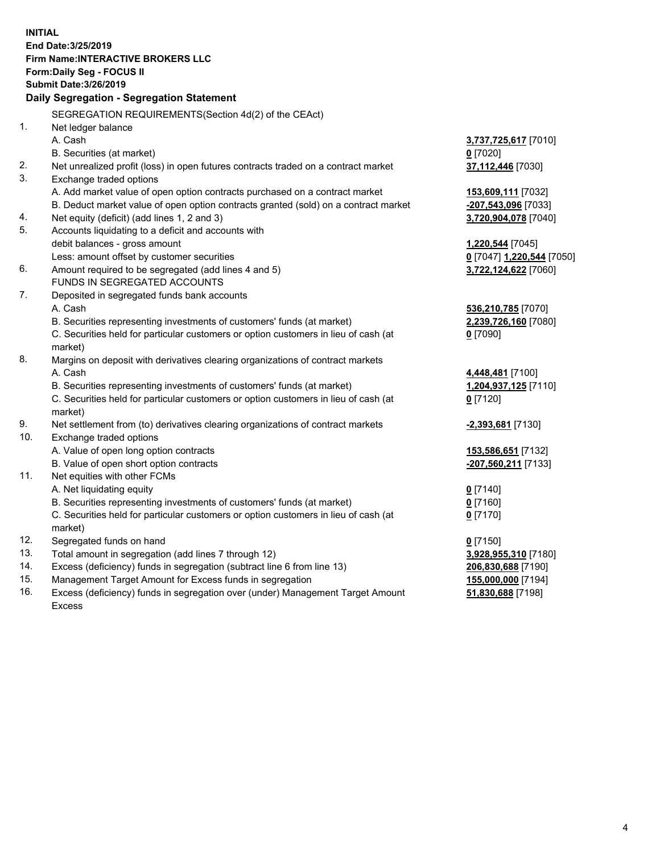**INITIAL End Date:3/25/2019 Firm Name:INTERACTIVE BROKERS LLC Form:Daily Seg - FOCUS II Submit Date:3/26/2019 Daily Segregation - Segregation Statement** SEGREGATION REQUIREMENTS(Section 4d(2) of the CEAct) 1. Net ledger balance A. Cash **3,737,725,617** [7010] B. Securities (at market) **0** [7020] 2. Net unrealized profit (loss) in open futures contracts traded on a contract market **37,112,446** [7030] 3. Exchange traded options A. Add market value of open option contracts purchased on a contract market **153,609,111** [7032] B. Deduct market value of open option contracts granted (sold) on a contract market **-207,543,096** [7033] 4. Net equity (deficit) (add lines 1, 2 and 3) **3,720,904,078** [7040] 5. Accounts liquidating to a deficit and accounts with debit balances - gross amount **1,220,544** [7045] Less: amount offset by customer securities **0** [7047] **1,220,544** [7050] 6. Amount required to be segregated (add lines 4 and 5) **3,722,124,622** [7060] FUNDS IN SEGREGATED ACCOUNTS 7. Deposited in segregated funds bank accounts A. Cash **536,210,785** [7070] B. Securities representing investments of customers' funds (at market) **2,239,726,160** [7080] C. Securities held for particular customers or option customers in lieu of cash (at market) **0** [7090] 8. Margins on deposit with derivatives clearing organizations of contract markets A. Cash **4,448,481** [7100] B. Securities representing investments of customers' funds (at market) **1,204,937,125** [7110] C. Securities held for particular customers or option customers in lieu of cash (at market) **0** [7120] 9. Net settlement from (to) derivatives clearing organizations of contract markets **-2,393,681** [7130] 10. Exchange traded options A. Value of open long option contracts **153,586,651** [7132] B. Value of open short option contracts **-207,560,211** [7133] 11. Net equities with other FCMs A. Net liquidating equity **0** [7140] B. Securities representing investments of customers' funds (at market) **0** [7160] C. Securities held for particular customers or option customers in lieu of cash (at market) **0** [7170] 12. Segregated funds on hand **0** [7150] 13. Total amount in segregation (add lines 7 through 12) **3,928,955,310** [7180] 14. Excess (deficiency) funds in segregation (subtract line 6 from line 13) **206,830,688** [7190] 15. Management Target Amount for Excess funds in segregation **155,000,000** [7194]

16. Excess (deficiency) funds in segregation over (under) Management Target Amount Excess

**51,830,688** [7198]